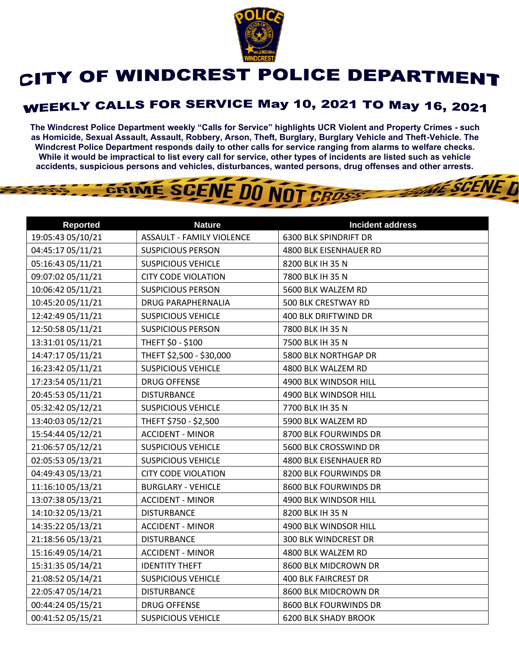

## CITY OF WINDCREST POLICE DEPARTMENT

## **WEEKLY CALLS FOR SERVICE May 10, 2021 TO May 16, 2021**

**The Windcrest Police Department weekly "Calls for Service" highlights UCR Violent and Property Crimes - such as Homicide, Sexual Assault, Assault, Robbery, Arson, Theft, Burglary, Burglary Vehicle and Theft-Vehicle. The Windcrest Police Department responds daily to other calls for service ranging from alarms to welfare checks. While it would be impractical to list every call for service, other types of incidents are listed such as vehicle accidents, suspicious persons and vehicles, disturbances, wanted persons, drug offenses and other arrests.** 

**THE SCENE D** 

GRIME SCENE DO NOT CROSS

| <b>Reported</b>   | <b>Nature</b>                    | <b>Incident address</b>      |
|-------------------|----------------------------------|------------------------------|
| 19:05:43 05/10/21 | <b>ASSAULT - FAMILY VIOLENCE</b> | <b>6300 BLK SPINDRIFT DR</b> |
| 04:45:17 05/11/21 | <b>SUSPICIOUS PERSON</b>         | 4800 BLK EISENHAUER RD       |
| 05:16:43 05/11/21 | <b>SUSPICIOUS VEHICLE</b>        | 8200 BLK IH 35 N             |
| 09:07:02 05/11/21 | <b>CITY CODE VIOLATION</b>       | 7800 BLK IH 35 N             |
| 10:06:42 05/11/21 | <b>SUSPICIOUS PERSON</b>         | 5600 BLK WALZEM RD           |
| 10:45:20 05/11/21 | <b>DRUG PARAPHERNALIA</b>        | 500 BLK CRESTWAY RD          |
| 12:42:49 05/11/21 | <b>SUSPICIOUS VEHICLE</b>        | 400 BLK DRIFTWIND DR         |
| 12:50:58 05/11/21 | <b>SUSPICIOUS PERSON</b>         | 7800 BLK IH 35 N             |
| 13:31:01 05/11/21 | THEFT \$0 - \$100                | 7500 BLK IH 35 N             |
| 14:47:17 05/11/21 | THEFT \$2,500 - \$30,000         | 5800 BLK NORTHGAP DR         |
| 16:23:42 05/11/21 | <b>SUSPICIOUS VEHICLE</b>        | 4800 BLK WALZEM RD           |
| 17:23:54 05/11/21 | <b>DRUG OFFENSE</b>              | 4900 BLK WINDSOR HILL        |
| 20:45:53 05/11/21 | <b>DISTURBANCE</b>               | 4900 BLK WINDSOR HILL        |
| 05:32:42 05/12/21 | <b>SUSPICIOUS VEHICLE</b>        | 7700 BLK IH 35 N             |
| 13:40:03 05/12/21 | THEFT \$750 - \$2,500            | 5900 BLK WALZEM RD           |
| 15:54:44 05/12/21 | <b>ACCIDENT - MINOR</b>          | 8700 BLK FOURWINDS DR        |
| 21:06:57 05/12/21 | <b>SUSPICIOUS VEHICLE</b>        | 5600 BLK CROSSWIND DR        |
| 02:05:53 05/13/21 | <b>SUSPICIOUS VEHICLE</b>        | 4800 BLK EISENHAUER RD       |
| 04:49:43 05/13/21 | <b>CITY CODE VIOLATION</b>       | 8200 BLK FOURWINDS DR        |
| 11:16:10 05/13/21 | <b>BURGLARY - VEHICLE</b>        | 8600 BLK FOURWINDS DR        |
| 13:07:38 05/13/21 | <b>ACCIDENT - MINOR</b>          | 4900 BLK WINDSOR HILL        |
| 14:10:32 05/13/21 | <b>DISTURBANCE</b>               | 8200 BLK IH 35 N             |
| 14:35:22 05/13/21 | <b>ACCIDENT - MINOR</b>          | 4900 BLK WINDSOR HILL        |
| 21:18:56 05/13/21 | <b>DISTURBANCE</b>               | 300 BLK WINDCREST DR         |
| 15:16:49 05/14/21 | <b>ACCIDENT - MINOR</b>          | 4800 BLK WALZEM RD           |
| 15:31:35 05/14/21 | <b>IDENTITY THEFT</b>            | 8600 BLK MIDCROWN DR         |
| 21:08:52 05/14/21 | <b>SUSPICIOUS VEHICLE</b>        | <b>400 BLK FAIRCREST DR</b>  |
| 22:05:47 05/14/21 | <b>DISTURBANCE</b>               | 8600 BLK MIDCROWN DR         |
| 00:44:24 05/15/21 | <b>DRUG OFFENSE</b>              | 8600 BLK FOURWINDS DR        |
| 00:41:52 05/15/21 | <b>SUSPICIOUS VEHICLE</b>        | <b>6200 BLK SHADY BROOK</b>  |